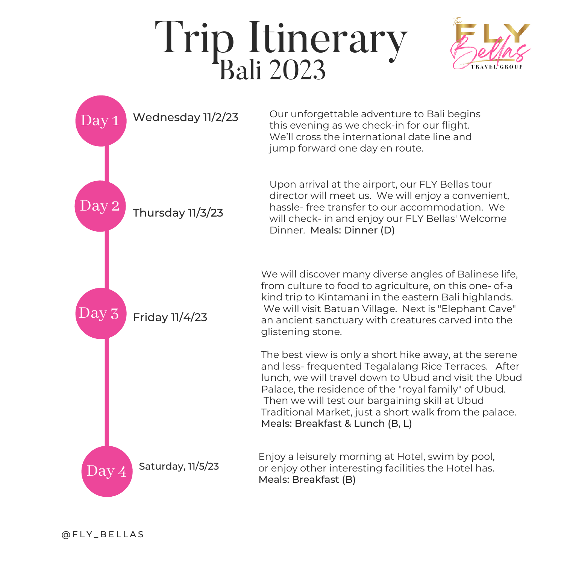## Trip Itinerary Bali 2023





Our unforgettable adventure to Bali begins this evening as we check-in for our flight. We'll cross the international date line and jump forward one day en route.

Upon arrival at the airport, our FLY Bellas tour director will meet us. We will enjoy a convenient, hassle- free transfer to our accommodation. We will check- in and enjoy our FLY Bellas' Welcome Dinner. Meals: Dinner (D)

We will discover many diverse angles of Balinese life, from culture to food to agriculture, on this one- of-a kind trip to Kintamani in the eastern Bali highlands. We will visit Batuan Village. Next is "Elephant Cave" an ancient sanctuary with creatures carved into the

The best view is only a short hike away, at the serene and less- frequented Tegalalang Rice Terraces. After lunch, we will travel down to Ubud and visit the Ubud Palace, the residence of the "royal family" of Ubud. Then we will test our bargaining skill at Ubud Traditional Market, just a short walk from the palace. Meals: Breakfast & Lunch (B, L)

Enjoy a leisurely morning at Hotel, swim by pool, or enjoy other interesting facilities the Hotel has. Meals: Breakfast (B)